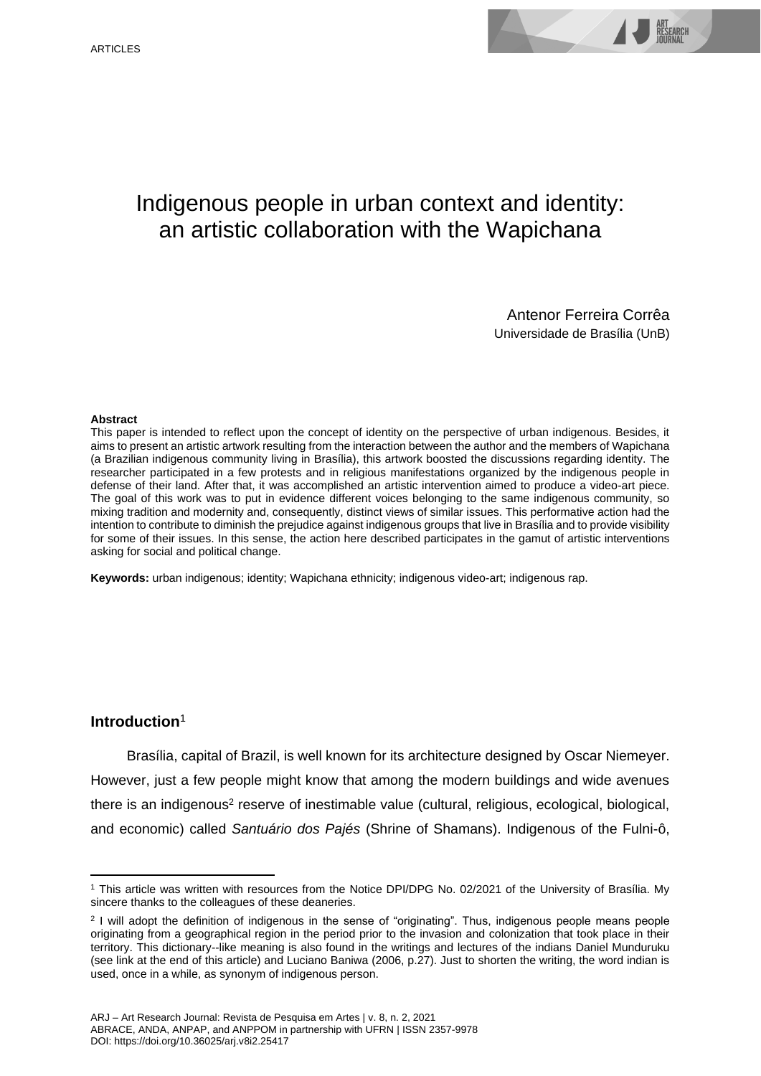# Indigenous people in urban context and identity: an artistic collaboration with the Wapichana

Antenor Ferreira Corrêa Universidade de Brasília (UnB)

#### **Abstract**

This paper is intended to reflect upon the concept of identity on the perspective of urban indigenous. Besides, it aims to present an artistic artwork resulting from the interaction between the author and the members of Wapichana (a Brazilian indigenous community living in Brasília), this artwork boosted the discussions regarding identity. The researcher participated in a few protests and in religious manifestations organized by the indigenous people in defense of their land. After that, it was accomplished an artistic intervention aimed to produce a video-art piece. The goal of this work was to put in evidence different voices belonging to the same indigenous community, so mixing tradition and modernity and, consequently, distinct views of similar issues. This performative action had the intention to contribute to diminish the prejudice against indigenous groups that live in Brasília and to provide visibility for some of their issues. In this sense, the action here described participates in the gamut of artistic interventions asking for social and political change.

**Keywords:** urban indigenous; identity; Wapichana ethnicity; indigenous video-art; indigenous rap.

# **Introduction**<sup>1</sup>

Brasília, capital of Brazil, is well known for its architecture designed by Oscar Niemeyer. However, just a few people might know that among the modern buildings and wide avenues there is an indigenous<sup>2</sup> reserve of inestimable value (cultural, religious, ecological, biological, and economic) called *Santuário dos Pajés* (Shrine of Shamans). Indigenous of the Fulni-ô,

<sup>1</sup> This article was written with resources from the Notice DPI/DPG No. 02/2021 of the University of Brasília. My sincere thanks to the colleagues of these deaneries.

<sup>&</sup>lt;sup>2</sup> I will adopt the definition of indigenous in the sense of "originating". Thus, indigenous people means people originating from a geographical region in the period prior to the invasion and colonization that took place in their territory. This dictionary--like meaning is also found in the writings and lectures of the indians Daniel Munduruku (see link at the end of this article) and Luciano Baniwa (2006, p.27). Just to shorten the writing, the word indian is used, once in a while, as synonym of indigenous person.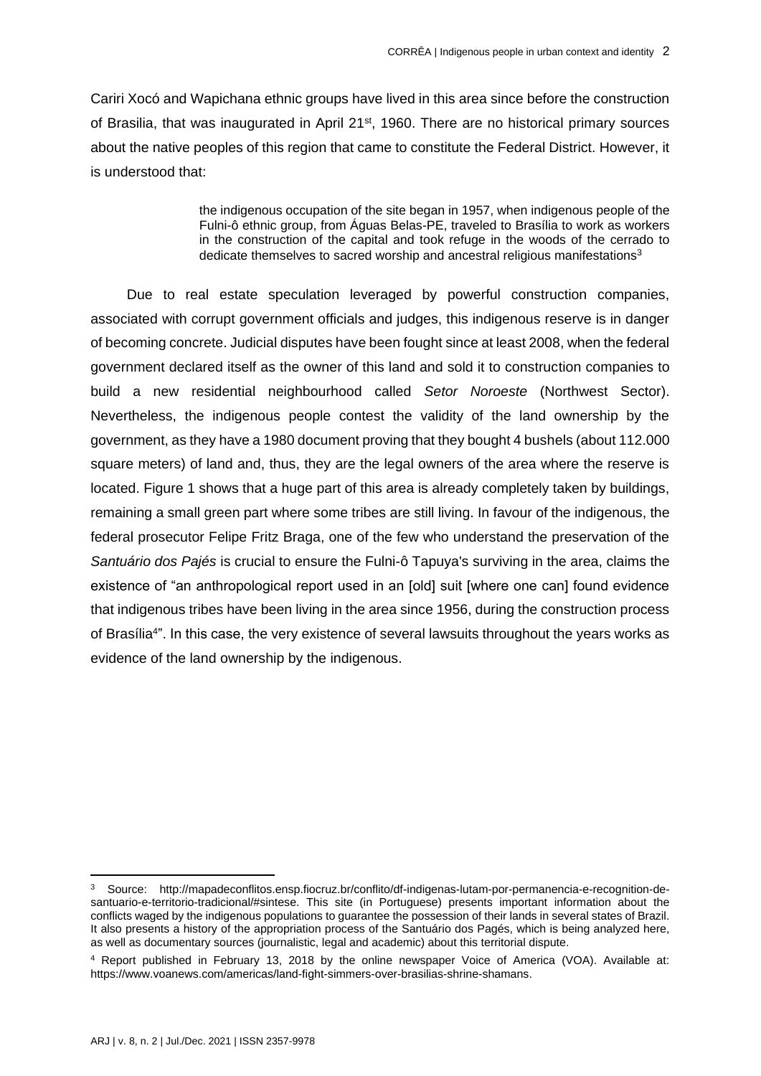Cariri Xocó and Wapichana ethnic groups have lived in this area since before the construction of Brasilia, that was inaugurated in April 21<sup>st</sup>, 1960. There are no historical primary sources about the native peoples of this region that came to constitute the Federal District. However, it is understood that:

> the indigenous occupation of the site began in 1957, when indigenous people of the Fulni-ô ethnic group, from Águas Belas-PE, traveled to Brasília to work as workers in the construction of the capital and took refuge in the woods of the cerrado to dedicate themselves to sacred worship and ancestral religious manifestations<sup>3</sup>

Due to real estate speculation leveraged by powerful construction companies, associated with corrupt government officials and judges, this indigenous reserve is in danger of becoming concrete. Judicial disputes have been fought since at least 2008, when the federal government declared itself as the owner of this land and sold it to construction companies to build a new residential neighbourhood called *Setor Noroeste* (Northwest Sector). Nevertheless, the indigenous people contest the validity of the land ownership by the government, as they have a 1980 document proving that they bought 4 bushels (about 112.000 square meters) of land and, thus, they are the legal owners of the area where the reserve is located. Figure 1 shows that a huge part of this area is already completely taken by buildings, remaining a small green part where some tribes are still living. In favour of the indigenous, the federal prosecutor Felipe Fritz Braga, one of the few who understand the preservation of the *Santuário dos Pajés* is crucial to ensure the Fulni-ô Tapuya's surviving in the area, claims the existence of "an anthropological report used in an [old] suit [where one can] found evidence that indigenous tribes have been living in the area since 1956, during the construction process of Brasília<sup>4</sup>". In this case, the very existence of several lawsuits throughout the years works as evidence of the land ownership by the indigenous.

<sup>3</sup> Source: [http://mapadeconflitos.ensp.fiocruz.br/conflito/df-indigenas-lutam-por-permanencia-e-recognition-de](http://mapadeconflitos.ensp.fiocruz.br/conflito/df-indigenas-lutam-por-permanencia-e-recognition-de-santuario-e-territorio-tradicional/#sintese)[santuario-e-territorio-tradicional/#sintese.](http://mapadeconflitos.ensp.fiocruz.br/conflito/df-indigenas-lutam-por-permanencia-e-recognition-de-santuario-e-territorio-tradicional/#sintese) This site (in Portuguese) presents important information about the conflicts waged by the indigenous populations to guarantee the possession of their lands in several states of Brazil. It also presents a history of the appropriation process of the Santuário dos Pagés, which is being analyzed here, as well as documentary sources (journalistic, legal and academic) about this territorial dispute.

<sup>4</sup> Report published in February 13, 2018 by the online newspaper Voice of America (VOA). Available at: [https://www.voanews.com/americas/land-fight-simmers-over-brasilias-shrine-shamans.](https://www.voanews.com/americas/land-fight-simmers-over-brasilias-shrine-shamans)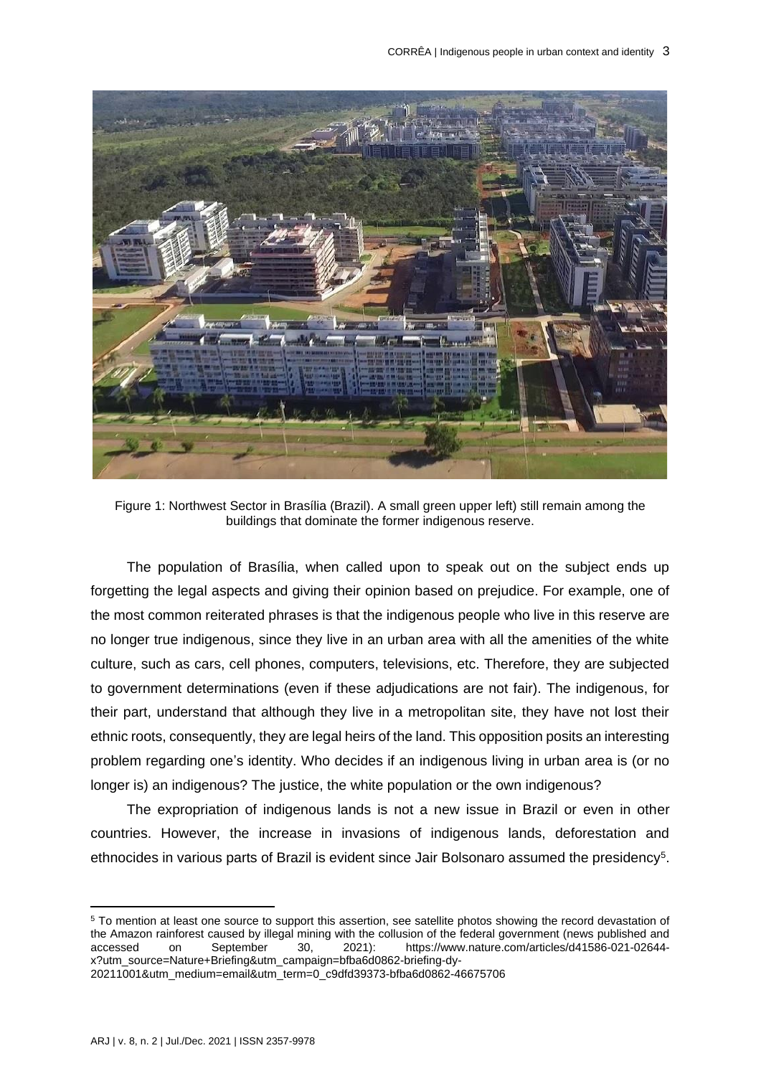

Figure 1: Northwest Sector in Brasília (Brazil). A small green upper left) still remain among the buildings that dominate the former indigenous reserve.

The population of Brasília, when called upon to speak out on the subject ends up forgetting the legal aspects and giving their opinion based on prejudice. For example, one of the most common reiterated phrases is that the indigenous people who live in this reserve are no longer true indigenous, since they live in an urban area with all the amenities of the white culture, such as cars, cell phones, computers, televisions, etc. Therefore, they are subjected to government determinations (even if these adjudications are not fair). The indigenous, for their part, understand that although they live in a metropolitan site, they have not lost their ethnic roots, consequently, they are legal heirs of the land. This opposition posits an interesting problem regarding one's identity. Who decides if an indigenous living in urban area is (or no longer is) an indigenous? The justice, the white population or the own indigenous?

The expropriation of indigenous lands is not a new issue in Brazil or even in other countries. However, the increase in invasions of indigenous lands, deforestation and ethnocides in various parts of Brazil is evident since Jair Bolsonaro assumed the presidency<sup>5</sup>.

<sup>5</sup> To mention at least one source to support this assertion, see satellite photos showing the record devastation of the Amazon rainforest caused by illegal mining with the collusion of the federal government (news published and accessed on September 30, 2021): [https://www.nature.com/articles/d41586-021-02644](https://www.nature.com/articles/d41586-021-02644-x?utm_source=Nature+Briefing&utm_campaign=bfba6d0862-briefing-dy-20211001&utm_medium=email&utm_term=0_c9dfd39373-bfba6d0862-46675706) [x?utm\\_source=Nature+Briefing&utm\\_campaign=bfba6d0862-briefing-dy-](https://www.nature.com/articles/d41586-021-02644-x?utm_source=Nature+Briefing&utm_campaign=bfba6d0862-briefing-dy-20211001&utm_medium=email&utm_term=0_c9dfd39373-bfba6d0862-46675706)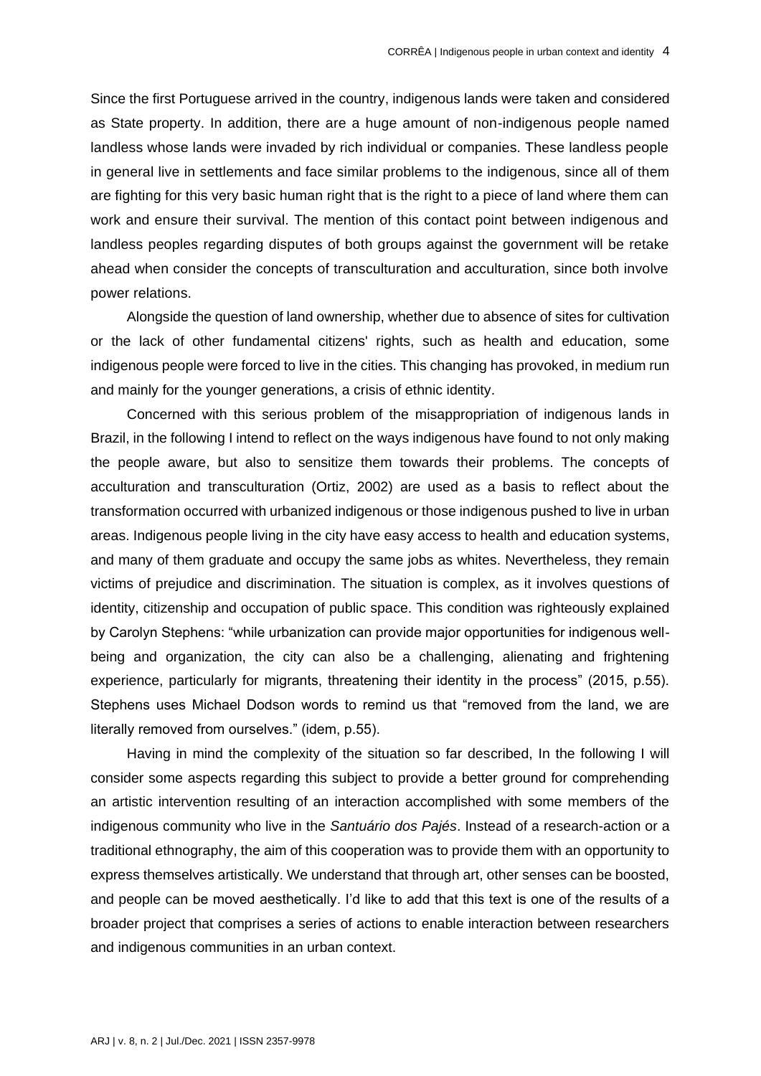Since the first Portuguese arrived in the country, indigenous lands were taken and considered as State property. In addition, there are a huge amount of non-indigenous people named landless whose lands were invaded by rich individual or companies. These landless people in general live in settlements and face similar problems to the indigenous, since all of them are fighting for this very basic human right that is the right to a piece of land where them can work and ensure their survival. The mention of this contact point between indigenous and landless peoples regarding disputes of both groups against the government will be retake ahead when consider the concepts of transculturation and acculturation, since both involve power relations.

Alongside the question of land ownership, whether due to absence of sites for cultivation or the lack of other fundamental citizens' rights, such as health and education, some indigenous people were forced to live in the cities. This changing has provoked, in medium run and mainly for the younger generations, a crisis of ethnic identity.

Concerned with this serious problem of the misappropriation of indigenous lands in Brazil, in the following I intend to reflect on the ways indigenous have found to not only making the people aware, but also to sensitize them towards their problems. The concepts of acculturation and transculturation (Ortiz, 2002) are used as a basis to reflect about the transformation occurred with urbanized indigenous or those indigenous pushed to live in urban areas. Indigenous people living in the city have easy access to health and education systems, and many of them graduate and occupy the same jobs as whites. Nevertheless, they remain victims of prejudice and discrimination. The situation is complex, as it involves questions of identity, citizenship and occupation of public space. This condition was righteously explained by Carolyn Stephens: "while urbanization can provide major opportunities for indigenous wellbeing and organization, the city can also be a challenging, alienating and frightening experience, particularly for migrants, threatening their identity in the process" (2015, p.55). Stephens uses Michael Dodson words to remind us that "removed from the land, we are literally removed from ourselves." (idem, p.55).

Having in mind the complexity of the situation so far described, In the following I will consider some aspects regarding this subject to provide a better ground for comprehending an artistic intervention resulting of an interaction accomplished with some members of the indigenous community who live in the *Santuário dos Pajés*. Instead of a research-action or a traditional ethnography, the aim of this cooperation was to provide them with an opportunity to express themselves artistically. We understand that through art, other senses can be boosted, and people can be moved aesthetically. I'd like to add that this text is one of the results of a broader project that comprises a series of actions to enable interaction between researchers and indigenous communities in an urban context.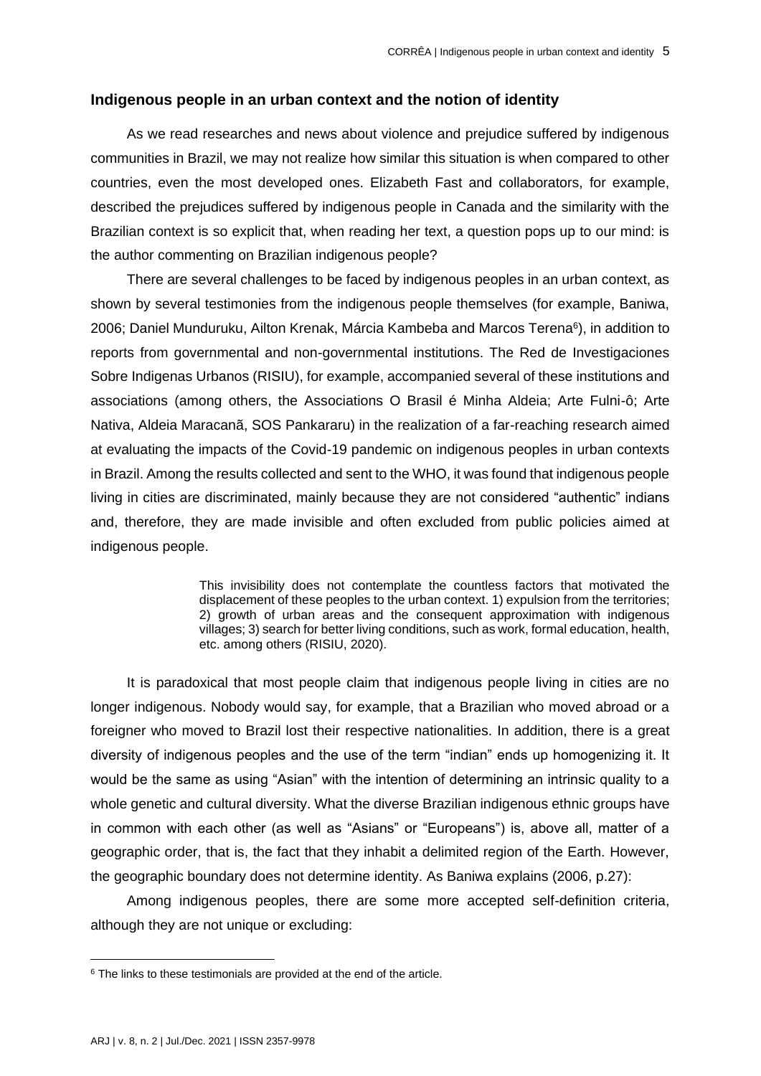### **Indigenous people in an urban context and the notion of identity**

As we read researches and news about violence and prejudice suffered by indigenous communities in Brazil, we may not realize how similar this situation is when compared to other countries, even the most developed ones. Elizabeth Fast and collaborators, for example, described the prejudices suffered by indigenous people in Canada and the similarity with the Brazilian context is so explicit that, when reading her text, a question pops up to our mind: is the author commenting on Brazilian indigenous people?

There are several challenges to be faced by indigenous peoples in an urban context, as shown by several testimonies from the indigenous people themselves (for example, Baniwa, 2006; Daniel Munduruku, Ailton Krenak, Márcia Kambeba and Marcos Terena<sup>6</sup>), in addition to reports from governmental and non-governmental institutions. The Red de Investigaciones Sobre Indigenas Urbanos (RISIU), for example, accompanied several of these institutions and associations (among others, the Associations O Brasil é Minha Aldeia; Arte Fulni-ô; Arte Nativa, Aldeia Maracanã, SOS Pankararu) in the realization of a far-reaching research aimed at evaluating the impacts of the Covid-19 pandemic on indigenous peoples in urban contexts in Brazil. Among the results collected and sent to the WHO, it was found that indigenous people living in cities are discriminated, mainly because they are not considered "authentic" indians and, therefore, they are made invisible and often excluded from public policies aimed at indigenous people.

> This invisibility does not contemplate the countless factors that motivated the displacement of these peoples to the urban context. 1) expulsion from the territories; 2) growth of urban areas and the consequent approximation with indigenous villages; 3) search for better living conditions, such as work, formal education, health, etc. among others (RISIU, 2020).

It is paradoxical that most people claim that indigenous people living in cities are no longer indigenous. Nobody would say, for example, that a Brazilian who moved abroad or a foreigner who moved to Brazil lost their respective nationalities. In addition, there is a great diversity of indigenous peoples and the use of the term "indian" ends up homogenizing it. It would be the same as using "Asian" with the intention of determining an intrinsic quality to a whole genetic and cultural diversity. What the diverse Brazilian indigenous ethnic groups have in common with each other (as well as "Asians" or "Europeans") is, above all, matter of a geographic order, that is, the fact that they inhabit a delimited region of the Earth. However, the geographic boundary does not determine identity. As Baniwa explains (2006, p.27):

Among indigenous peoples, there are some more accepted self-definition criteria, although they are not unique or excluding:

 $6$  The links to these testimonials are provided at the end of the article.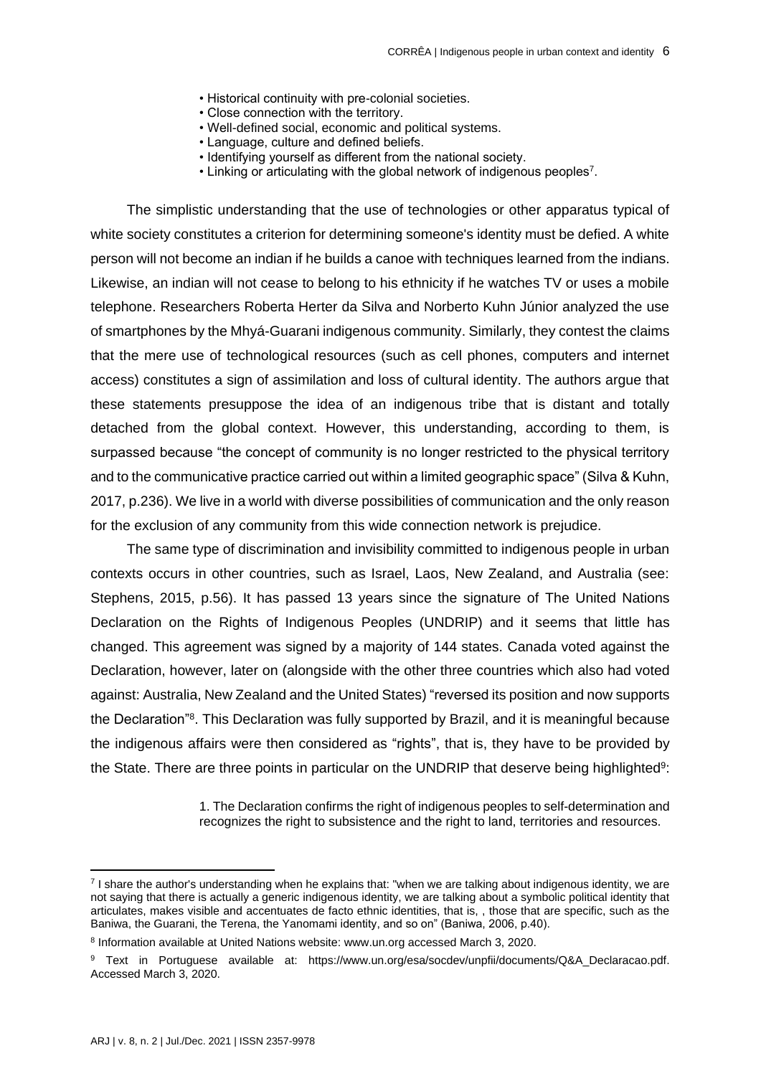- Historical continuity with pre-colonial societies.
- Close connection with the territory.
- Well-defined social, economic and political systems.
- Language, culture and defined beliefs.
- Identifying yourself as different from the national society.
- Linking or articulating with the global network of indigenous peoples<sup>7</sup>.

The simplistic understanding that the use of technologies or other apparatus typical of white society constitutes a criterion for determining someone's identity must be defied. A white person will not become an indian if he builds a canoe with techniques learned from the indians. Likewise, an indian will not cease to belong to his ethnicity if he watches TV or uses a mobile telephone. Researchers Roberta Herter da Silva and Norberto Kuhn Júnior analyzed the use of smartphones by the Mhyá-Guarani indigenous community. Similarly, they contest the claims that the mere use of technological resources (such as cell phones, computers and internet access) constitutes a sign of assimilation and loss of cultural identity. The authors argue that these statements presuppose the idea of an indigenous tribe that is distant and totally detached from the global context. However, this understanding, according to them, is surpassed because "the concept of community is no longer restricted to the physical territory and to the communicative practice carried out within a limited geographic space" (Silva & Kuhn, 2017, p.236). We live in a world with diverse possibilities of communication and the only reason for the exclusion of any community from this wide connection network is prejudice.

The same type of discrimination and invisibility committed to indigenous people in urban contexts occurs in other countries, such as Israel, Laos, New Zealand, and Australia (see: Stephens, 2015, p.56). It has passed 13 years since the signature of The United Nations Declaration on the Rights of Indigenous Peoples (UNDRIP) and it seems that little has changed. This agreement was signed by a majority of 144 states. Canada voted against the Declaration, however, later on (alongside with the other three countries which also had voted against: Australia, New Zealand and the United States) "reversed its position and now supports the Declaration"<sup>8</sup>. This Declaration was fully supported by Brazil, and it is meaningful because the indigenous affairs were then considered as "rights", that is, they have to be provided by the State. There are three points in particular on the UNDRIP that deserve being highlighted<sup>9</sup>:

> 1. The Declaration confirms the right of indigenous peoples to self-determination and recognizes the right to subsistence and the right to land, territories and resources.

<sup>7</sup> I share the author's understanding when he explains that: "when we are talking about indigenous identity, we are not saying that there is actually a generic indigenous identity, we are talking about a symbolic political identity that articulates, makes visible and accentuates de facto ethnic identities, that is, , those that are specific, such as the Baniwa, the Guarani, the Terena, the Yanomami identity, and so on" (Baniwa, 2006, p.40).

<sup>&</sup>lt;sup>8</sup> Information available at United Nations website: [www.un.org](http://www.un.org/) accessed March 3, 2020.

<sup>9</sup> Text in Portuguese available at: https://www.un.org/esa/socdev/unpfii/documents/Q&A Declaracao.pdf. Accessed March 3, 2020.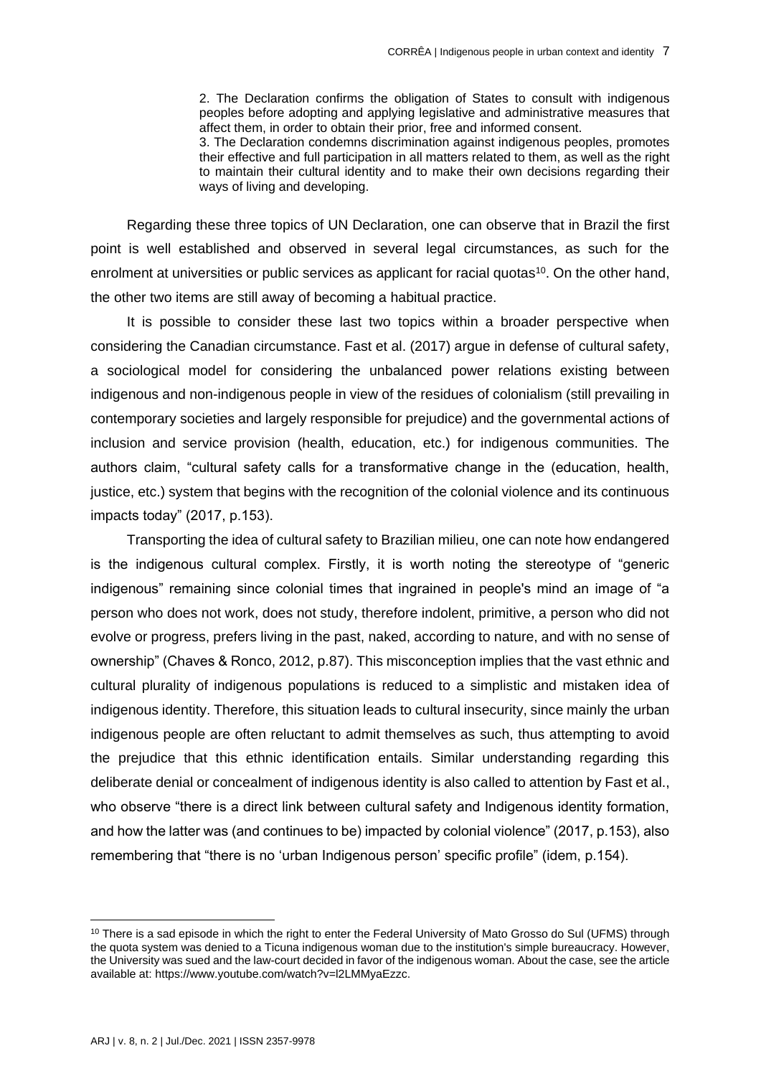2. The Declaration confirms the obligation of States to consult with indigenous peoples before adopting and applying legislative and administrative measures that affect them, in order to obtain their prior, free and informed consent.

3. The Declaration condemns discrimination against indigenous peoples, promotes their effective and full participation in all matters related to them, as well as the right to maintain their cultural identity and to make their own decisions regarding their ways of living and developing.

Regarding these three topics of UN Declaration, one can observe that in Brazil the first point is well established and observed in several legal circumstances, as such for the enrolment at universities or public services as applicant for racial quotas $10$ . On the other hand, the other two items are still away of becoming a habitual practice.

It is possible to consider these last two topics within a broader perspective when considering the Canadian circumstance. Fast et al. (2017) argue in defense of cultural safety, a sociological model for considering the unbalanced power relations existing between indigenous and non-indigenous people in view of the residues of colonialism (still prevailing in contemporary societies and largely responsible for prejudice) and the governmental actions of inclusion and service provision (health, education, etc.) for indigenous communities. The authors claim, "cultural safety calls for a transformative change in the (education, health, justice, etc.) system that begins with the recognition of the colonial violence and its continuous impacts today" (2017, p.153).

Transporting the idea of cultural safety to Brazilian milieu, one can note how endangered is the indigenous cultural complex. Firstly, it is worth noting the stereotype of "generic indigenous" remaining since colonial times that ingrained in people's mind an image of "a person who does not work, does not study, therefore indolent, primitive, a person who did not evolve or progress, prefers living in the past, naked, according to nature, and with no sense of ownership" (Chaves & Ronco, 2012, p.87). This misconception implies that the vast ethnic and cultural plurality of indigenous populations is reduced to a simplistic and mistaken idea of indigenous identity. Therefore, this situation leads to cultural insecurity, since mainly the urban indigenous people are often reluctant to admit themselves as such, thus attempting to avoid the prejudice that this ethnic identification entails. Similar understanding regarding this deliberate denial or concealment of indigenous identity is also called to attention by Fast et al., who observe "there is a direct link between cultural safety and Indigenous identity formation, and how the latter was (and continues to be) impacted by colonial violence" (2017, p.153), also remembering that "there is no 'urban Indigenous person' specific profile" (idem, p.154).

<sup>&</sup>lt;sup>10</sup> There is a sad episode in which the right to enter the Federal University of Mato Grosso do Sul (UFMS) through the quota system was denied to a Ticuna indigenous woman due to the institution's simple bureaucracy. However, the University was sued and the law-court decided in favor of the indigenous woman. About the case, see the article available at: [https://www.youtube.com/watch?v=l2LMMyaEzzc.](https://www.youtube.com/watch?v=l2LMMyaEzzc)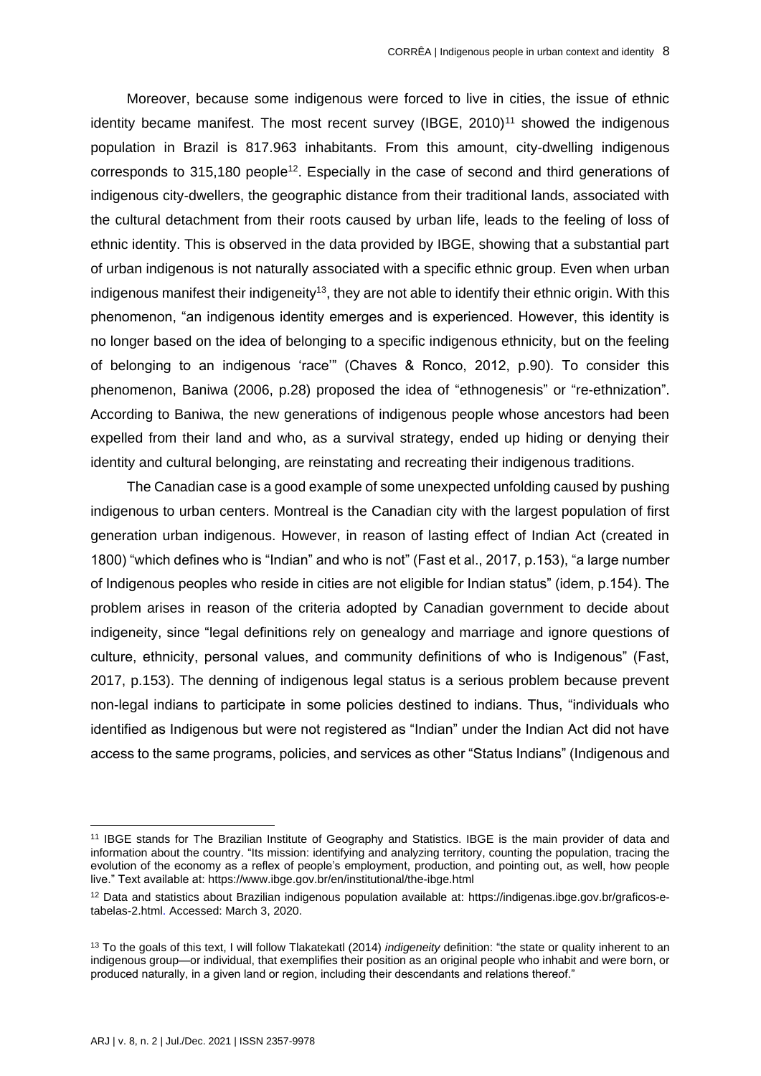Moreover, because some indigenous were forced to live in cities, the issue of ethnic identity became manifest. The most recent survey (IBGE, 2010)<sup>11</sup> showed the indigenous population in Brazil is 817.963 inhabitants. From this amount, city-dwelling indigenous corresponds to  $315,180$  people<sup>12</sup>. Especially in the case of second and third generations of indigenous city-dwellers, the geographic distance from their traditional lands, associated with the cultural detachment from their roots caused by urban life, leads to the feeling of loss of ethnic identity. This is observed in the data provided by IBGE, showing that a substantial part of urban indigenous is not naturally associated with a specific ethnic group. Even when urban indigenous manifest their indigeneity<sup>13</sup>, they are not able to identify their ethnic origin. With this phenomenon, "an indigenous identity emerges and is experienced. However, this identity is no longer based on the idea of belonging to a specific indigenous ethnicity, but on the feeling of belonging to an indigenous 'race'" (Chaves & Ronco, 2012, p.90). To consider this phenomenon, Baniwa (2006, p.28) proposed the idea of "ethnogenesis" or "re-ethnization". According to Baniwa, the new generations of indigenous people whose ancestors had been expelled from their land and who, as a survival strategy, ended up hiding or denying their identity and cultural belonging, are reinstating and recreating their indigenous traditions.

The Canadian case is a good example of some unexpected unfolding caused by pushing indigenous to urban centers. Montreal is the Canadian city with the largest population of first generation urban indigenous. However, in reason of lasting effect of Indian Act (created in 1800) "which defines who is "Indian" and who is not" (Fast et al., 2017, p.153), "a large number of Indigenous peoples who reside in cities are not eligible for Indian status" (idem, p.154). The problem arises in reason of the criteria adopted by Canadian government to decide about indigeneity, since "legal definitions rely on genealogy and marriage and ignore questions of culture, ethnicity, personal values, and community definitions of who is Indigenous" (Fast, 2017, p.153). The denning of indigenous legal status is a serious problem because prevent non-legal indians to participate in some policies destined to indians. Thus, "individuals who identified as Indigenous but were not registered as "Indian" under the Indian Act did not have access to the same programs, policies, and services as other "Status Indians" (Indigenous and

<sup>11</sup> IBGE stands for The Brazilian Institute of Geography and Statistics. IBGE is the main provider of data and information about the country. "Its mission: identifying and analyzing territory, counting the population, tracing the evolution of the economy as a reflex of people's employment, production, and pointing out, as well, how people live." Text available at:<https://www.ibge.gov.br/en/institutional/the-ibge.html>

<sup>12</sup> Data and statistics about Brazilian indigenous population available at: [https://indigenas.ibge.gov.br/graficos-e](https://indigenas.ibge.gov.br/graficos-e-tabelas-2.html)[tabelas-2.html.](https://indigenas.ibge.gov.br/graficos-e-tabelas-2.html) Accessed: March 3, 2020.

<sup>13</sup> To the goals of this text, I will follow Tlakatekatl (2014) *indigeneity* definition: "the state or quality inherent to an indigenous group—or individual, that exemplifies their position as an original people who inhabit and were born, or produced naturally, in a given land or region, including their descendants and relations thereof."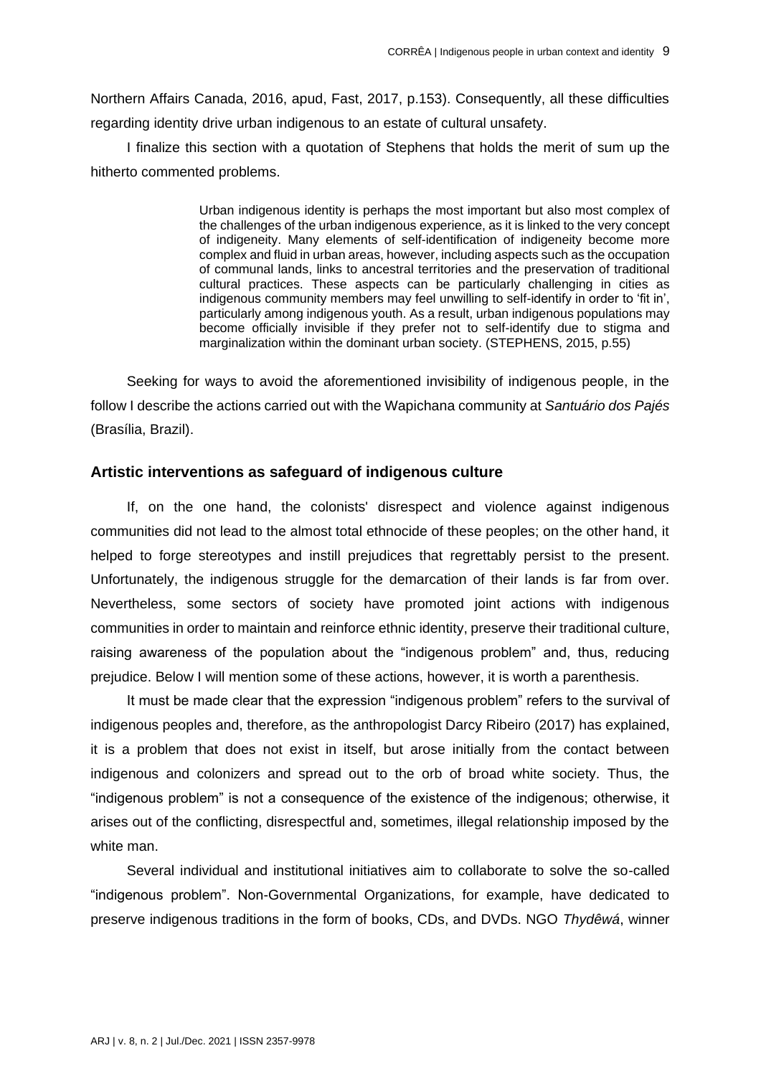Northern Affairs Canada, 2016, apud, Fast, 2017, p.153). Consequently, all these difficulties regarding identity drive urban indigenous to an estate of cultural unsafety.

I finalize this section with a quotation of Stephens that holds the merit of sum up the hitherto commented problems.

> Urban indigenous identity is perhaps the most important but also most complex of the challenges of the urban indigenous experience, as it is linked to the very concept of indigeneity. Many elements of self-identification of indigeneity become more complex and fluid in urban areas, however, including aspects such as the occupation of communal lands, links to ancestral territories and the preservation of traditional cultural practices. These aspects can be particularly challenging in cities as indigenous community members may feel unwilling to self-identify in order to 'fit in', particularly among indigenous youth. As a result, urban indigenous populations may become officially invisible if they prefer not to self-identify due to stigma and marginalization within the dominant urban society. (STEPHENS, 2015, p.55)

Seeking for ways to avoid the aforementioned invisibility of indigenous people, in the follow I describe the actions carried out with the Wapichana community at *Santuário dos Pajés*  (Brasília, Brazil).

#### **Artistic interventions as safeguard of indigenous culture**

If, on the one hand, the colonists' disrespect and violence against indigenous communities did not lead to the almost total ethnocide of these peoples; on the other hand, it helped to forge stereotypes and instill prejudices that regrettably persist to the present. Unfortunately, the indigenous struggle for the demarcation of their lands is far from over. Nevertheless, some sectors of society have promoted joint actions with indigenous communities in order to maintain and reinforce ethnic identity, preserve their traditional culture, raising awareness of the population about the "indigenous problem" and, thus, reducing prejudice. Below I will mention some of these actions, however, it is worth a parenthesis.

It must be made clear that the expression "indigenous problem" refers to the survival of indigenous peoples and, therefore, as the anthropologist Darcy Ribeiro (2017) has explained, it is a problem that does not exist in itself, but arose initially from the contact between indigenous and colonizers and spread out to the orb of broad white society. Thus, the "indigenous problem" is not a consequence of the existence of the indigenous; otherwise, it arises out of the conflicting, disrespectful and, sometimes, illegal relationship imposed by the white man.

Several individual and institutional initiatives aim to collaborate to solve the so-called "indigenous problem". Non-Governmental Organizations, for example, have dedicated to preserve indigenous traditions in the form of books, CDs, and DVDs. NGO *Thydêwá*, winner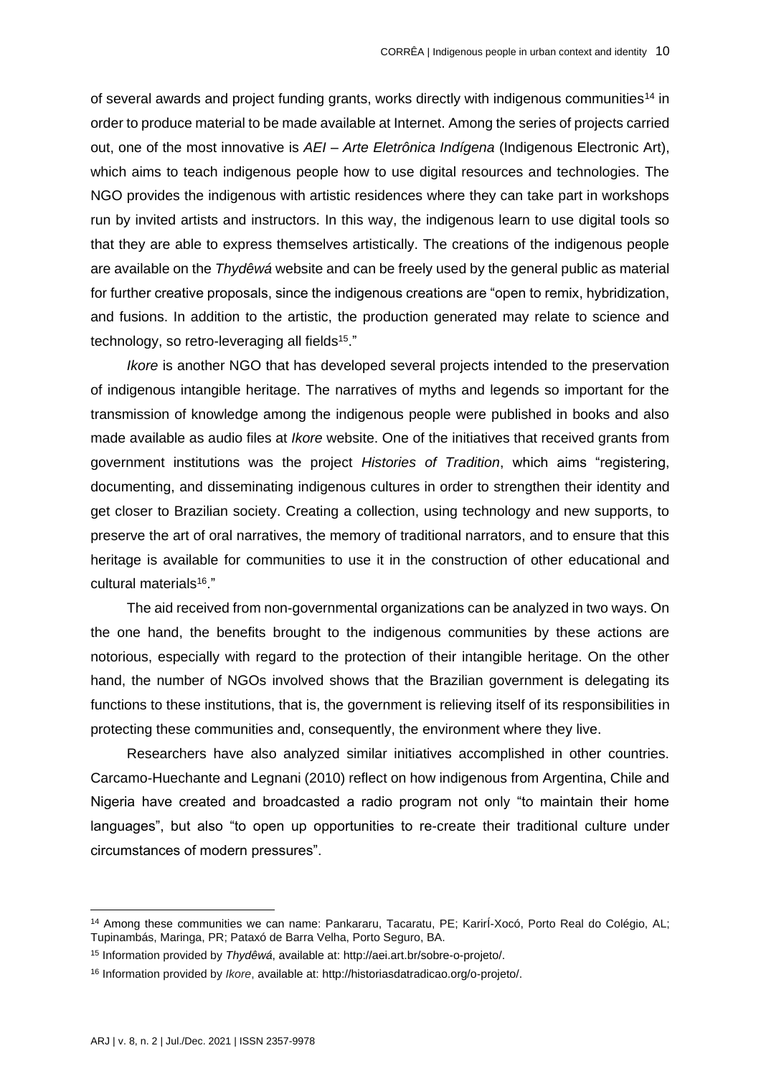of several awards and project funding grants, works directly with indigenous communities<sup>14</sup> in order to produce material to be made available at Internet. Among the series of projects carried out, one of the most innovative is *AEI – Arte Eletrônica Indígena* (Indigenous Electronic Art), which aims to teach indigenous people how to use digital resources and technologies. The NGO provides the indigenous with artistic residences where they can take part in workshops run by invited artists and instructors. In this way, the indigenous learn to use digital tools so that they are able to express themselves artistically. The creations of the indigenous people are available on the *Thydêwá* website and can be freely used by the general public as material for further creative proposals, since the indigenous creations are "open to remix, hybridization, and fusions. In addition to the artistic, the production generated may relate to science and technology, so retro-leveraging all fields<sup>15</sup>."

*Ikore* is another NGO that has developed several projects intended to the preservation of indigenous intangible heritage. The narratives of myths and legends so important for the transmission of knowledge among the indigenous people were published in books and also made available as audio files at *Ikore* website. One of the initiatives that received grants from government institutions was the project *Histories of Tradition*, which aims "registering, documenting, and disseminating indigenous cultures in order to strengthen their identity and get closer to Brazilian society. Creating a collection, using technology and new supports, to preserve the art of oral narratives, the memory of traditional narrators, and to ensure that this heritage is available for communities to use it in the construction of other educational and cultural materials<sup>16</sup>."

The aid received from non-governmental organizations can be analyzed in two ways. On the one hand, the benefits brought to the indigenous communities by these actions are notorious, especially with regard to the protection of their intangible heritage. On the other hand, the number of NGOs involved shows that the Brazilian government is delegating its functions to these institutions, that is, the government is relieving itself of its responsibilities in protecting these communities and, consequently, the environment where they live.

Researchers have also analyzed similar initiatives accomplished in other countries. Carcamo-Huechante and Legnani (2010) reflect on how indigenous from Argentina, Chile and Nigeria have created and broadcasted a radio program not only "to maintain their home languages", but also "to open up opportunities to re-create their traditional culture under circumstances of modern pressures".

<sup>14</sup> Among these communities we can name: Pankararu, Tacaratu, PE; KarirÍ-Xocó, Porto Real do Colégio, AL; Tupinambás, Maringa, PR; Pataxó de Barra Velha, Porto Seguro, BA.

<sup>15</sup> Information provided by *Thydêwá*, available at[: http://aei.art.br/sobre-o-projeto/.](http://aei.art.br/sobre-o-projeto/)

<sup>16</sup> Information provided by *Ikore*, available at: [http://historiasdatradicao.org/o-projeto/.](http://historiasdatradicao.org/o-projeto/)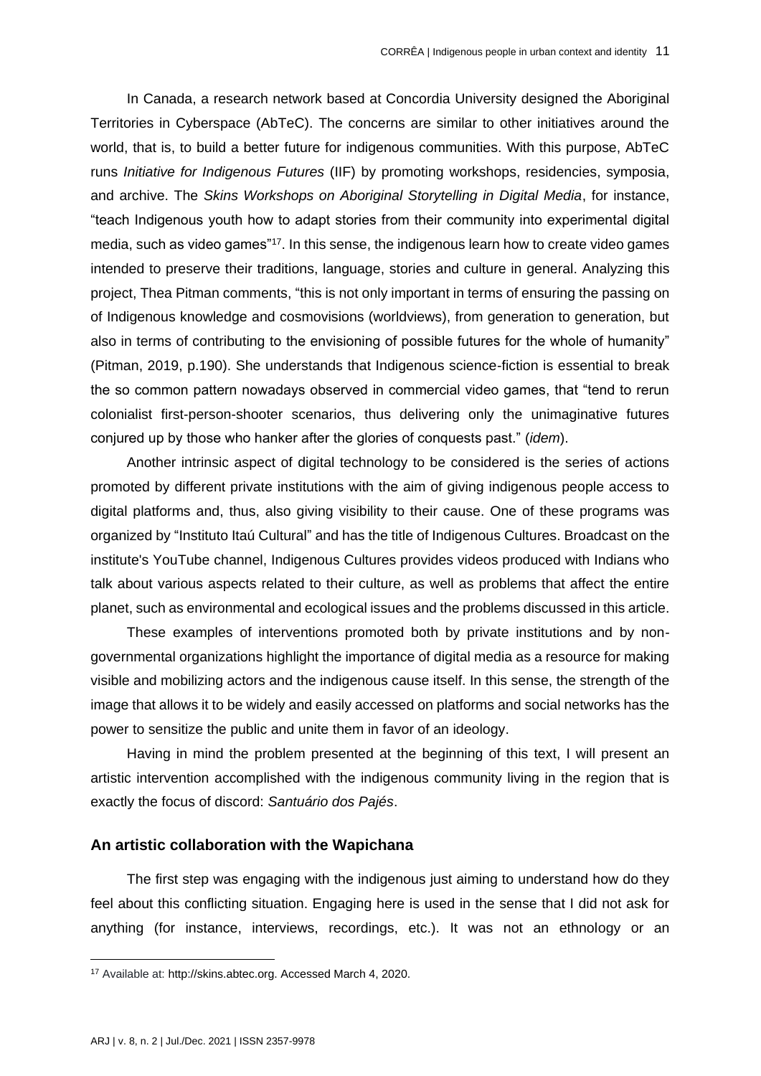In Canada, a research network based at Concordia University designed the Aboriginal Territories in Cyberspace (AbTeC). The concerns are similar to other initiatives around the world, that is, to build a better future for indigenous communities. With this purpose, AbTeC runs *Initiative for Indigenous Futures* (IIF) by promoting workshops, residencies, symposia, and archive. The *Skins Workshops on Aboriginal Storytelling in Digital Media*, for instance, "teach Indigenous youth how to adapt stories from their community into experimental digital media, such as video games"<sup>17</sup>. In this sense, the indigenous learn how to create video games intended to preserve their traditions, language, stories and culture in general. Analyzing this project, Thea Pitman comments, "this is not only important in terms of ensuring the passing on of Indigenous knowledge and cosmovisions (worldviews), from generation to generation, but also in terms of contributing to the envisioning of possible futures for the whole of humanity" (Pitman, 2019, p.190). She understands that Indigenous science-fiction is essential to break the so common pattern nowadays observed in commercial video games, that "tend to rerun colonialist first-person-shooter scenarios, thus delivering only the unimaginative futures conjured up by those who hanker after the glories of conquests past." (*idem*).

Another intrinsic aspect of digital technology to be considered is the series of actions promoted by different private institutions with the aim of giving indigenous people access to digital platforms and, thus, also giving visibility to their cause. One of these programs was organized by "Instituto Itaú Cultural" and has the title of Indigenous Cultures. Broadcast on the institute's YouTube channel, Indigenous Cultures provides videos produced with Indians who talk about various aspects related to their culture, as well as problems that affect the entire planet, such as environmental and ecological issues and the problems discussed in this article.

These examples of interventions promoted both by private institutions and by nongovernmental organizations highlight the importance of digital media as a resource for making visible and mobilizing actors and the indigenous cause itself. In this sense, the strength of the image that allows it to be widely and easily accessed on platforms and social networks has the power to sensitize the public and unite them in favor of an ideology.

Having in mind the problem presented at the beginning of this text, I will present an artistic intervention accomplished with the indigenous community living in the region that is exactly the focus of discord: *Santuário dos Pajés*.

### **An artistic collaboration with the Wapichana**

The first step was engaging with the indigenous just aiming to understand how do they feel about this conflicting situation. Engaging here is used in the sense that I did not ask for anything (for instance, interviews, recordings, etc.). It was not an ethnology or an

<sup>17</sup> Available at[: http://skins.abtec.org.](http://skins.abtec.org/) Accessed March 4, 2020.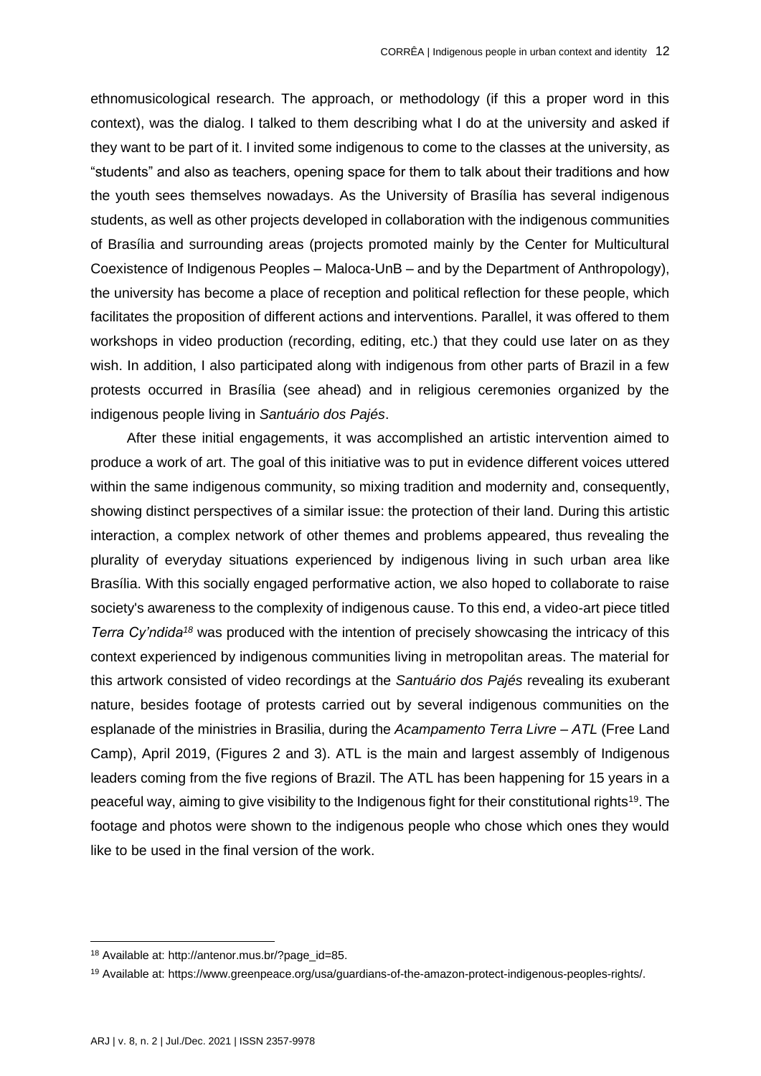ethnomusicological research. The approach, or methodology (if this a proper word in this context), was the dialog. I talked to them describing what I do at the university and asked if they want to be part of it. I invited some indigenous to come to the classes at the university, as "students" and also as teachers, opening space for them to talk about their traditions and how the youth sees themselves nowadays. As the University of Brasília has several indigenous students, as well as other projects developed in collaboration with the indigenous communities of Brasília and surrounding areas (projects promoted mainly by the Center for Multicultural Coexistence of Indigenous Peoples – Maloca-UnB – and by the Department of Anthropology), the university has become a place of reception and political reflection for these people, which facilitates the proposition of different actions and interventions. Parallel, it was offered to them workshops in video production (recording, editing, etc.) that they could use later on as they wish. In addition, I also participated along with indigenous from other parts of Brazil in a few protests occurred in Brasília (see ahead) and in religious ceremonies organized by the indigenous people living in *Santuário dos Pajés*.

After these initial engagements, it was accomplished an artistic intervention aimed to produce a work of art. The goal of this initiative was to put in evidence different voices uttered within the same indigenous community, so mixing tradition and modernity and, consequently, showing distinct perspectives of a similar issue: the protection of their land. During this artistic interaction, a complex network of other themes and problems appeared, thus revealing the plurality of everyday situations experienced by indigenous living in such urban area like Brasília. With this socially engaged performative action, we also hoped to collaborate to raise society's awareness to the complexity of indigenous cause. To this end, a video-art piece titled *Terra Cy'ndida<sup>18</sup>* was produced with the intention of precisely showcasing the intricacy of this context experienced by indigenous communities living in metropolitan areas. The material for this artwork consisted of video recordings at the *Santuário dos Pajés* revealing its exuberant nature, besides footage of protests carried out by several indigenous communities on the esplanade of the ministries in Brasilia, during the *Acampamento Terra Livre – ATL* (Free Land Camp), April 2019, (Figures 2 and 3). ATL is the main and largest assembly of Indigenous leaders coming from the five regions of Brazil. The ATL has been happening for 15 years in a peaceful way, aiming to give visibility to the Indigenous fight for their constitutional rights<sup>19</sup>. The footage and photos were shown to the indigenous people who chose which ones they would like to be used in the final version of the work.

<sup>18</sup> Available at: [http://antenor.mus.br/?page\\_id=85.](http://antenor.mus.br/?page_id=85)

<sup>19</sup> Available at[: https://www.greenpeace.org/usa/guardians-of-the-amazon-protect-indigenous-peoples-rights/.](https://www.greenpeace.org/usa/guardians-of-the-amazon-protect-indigenous-peoples-rights/)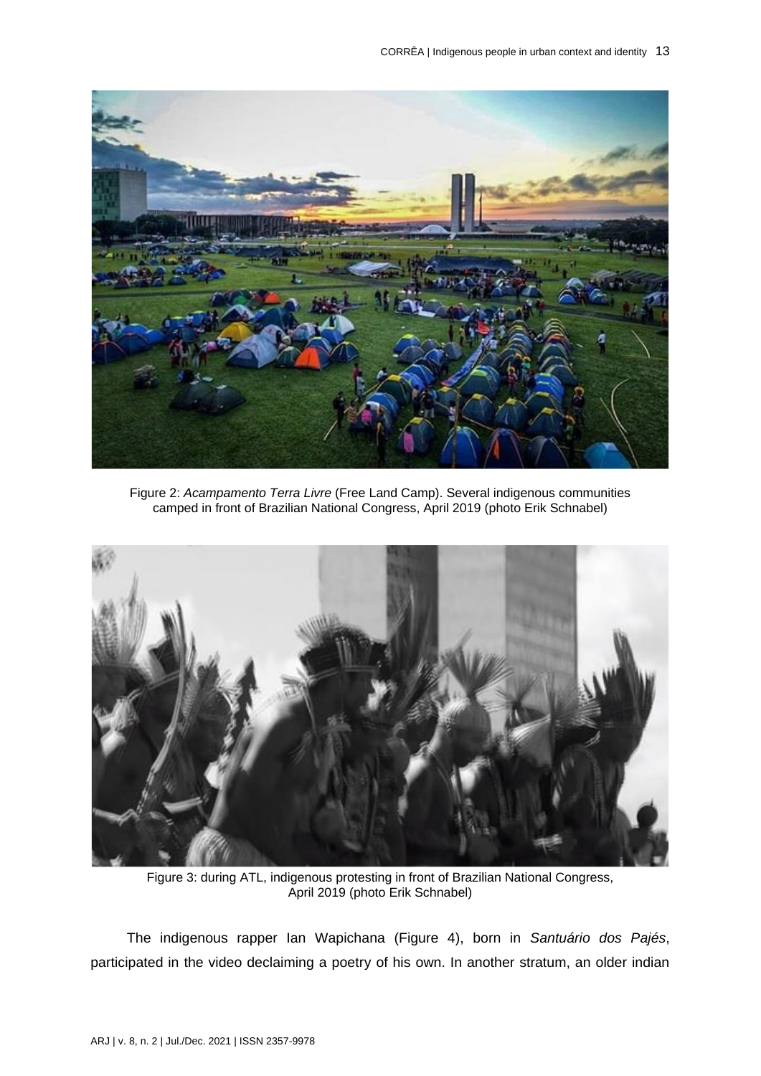

Figure 2: *Acampamento Terra Livre* (Free Land Camp). Several indigenous communities camped in front of Brazilian National Congress, April 2019 (photo Erik Schnabel)



Figure 3: during ATL, indigenous protesting in front of Brazilian National Congress, April 2019 (photo Erik Schnabel)

The indigenous rapper Ian Wapichana (Figure 4), born in *Santuário dos Pajés*, participated in the video declaiming a poetry of his own. In another stratum, an older indian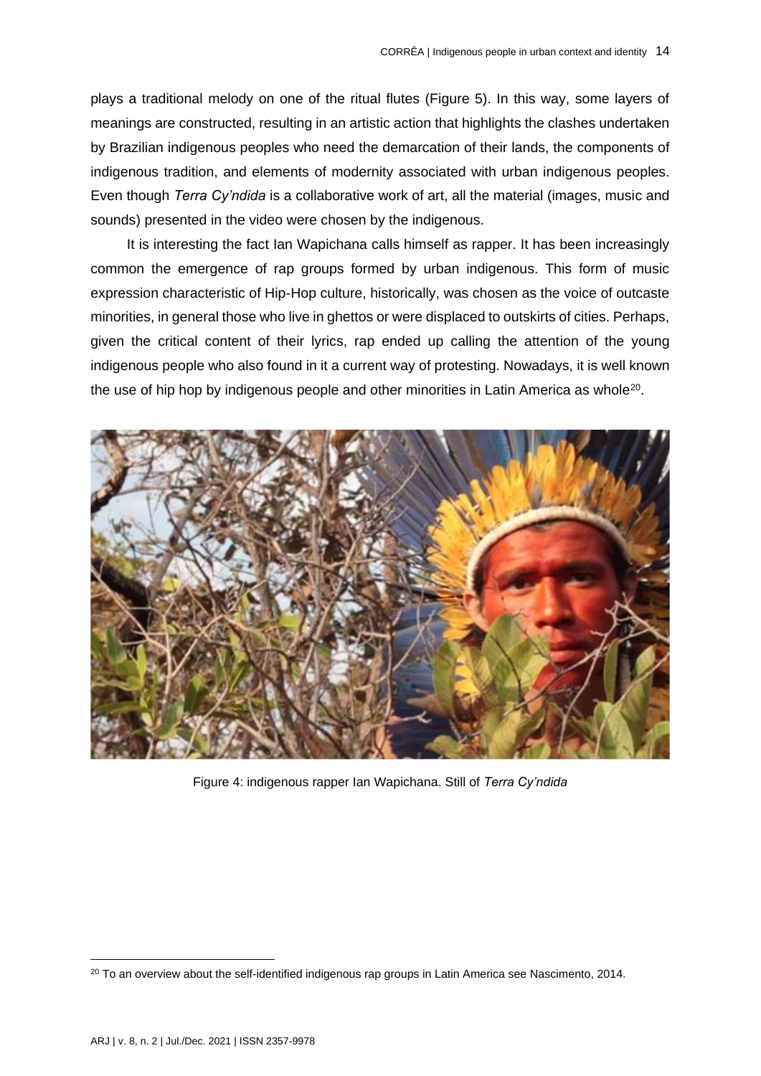plays a traditional melody on one of the ritual flutes (Figure 5). In this way, some layers of meanings are constructed, resulting in an artistic action that highlights the clashes undertaken by Brazilian indigenous peoples who need the demarcation of their lands, the components of indigenous tradition, and elements of modernity associated with urban indigenous peoples. Even though *Terra Cy'ndida* is a collaborative work of art, all the material (images, music and sounds) presented in the video were chosen by the indigenous.

It is interesting the fact Ian Wapichana calls himself as rapper. It has been increasingly common the emergence of rap groups formed by urban indigenous. This form of music expression characteristic of Hip-Hop culture, historically, was chosen as the voice of outcaste minorities, in general those who live in ghettos or were displaced to outskirts of cities. Perhaps, given the critical content of their lyrics, rap ended up calling the attention of the young indigenous people who also found in it a current way of protesting. Nowadays, it is well known the use of hip hop by indigenous people and other minorities in Latin America as whole<sup>20</sup>.



Figure 4: indigenous rapper Ian Wapichana. Still of *Terra Cy'ndida*

<sup>&</sup>lt;sup>20</sup> To an overview about the self-identified indigenous rap groups in Latin America see Nascimento, 2014.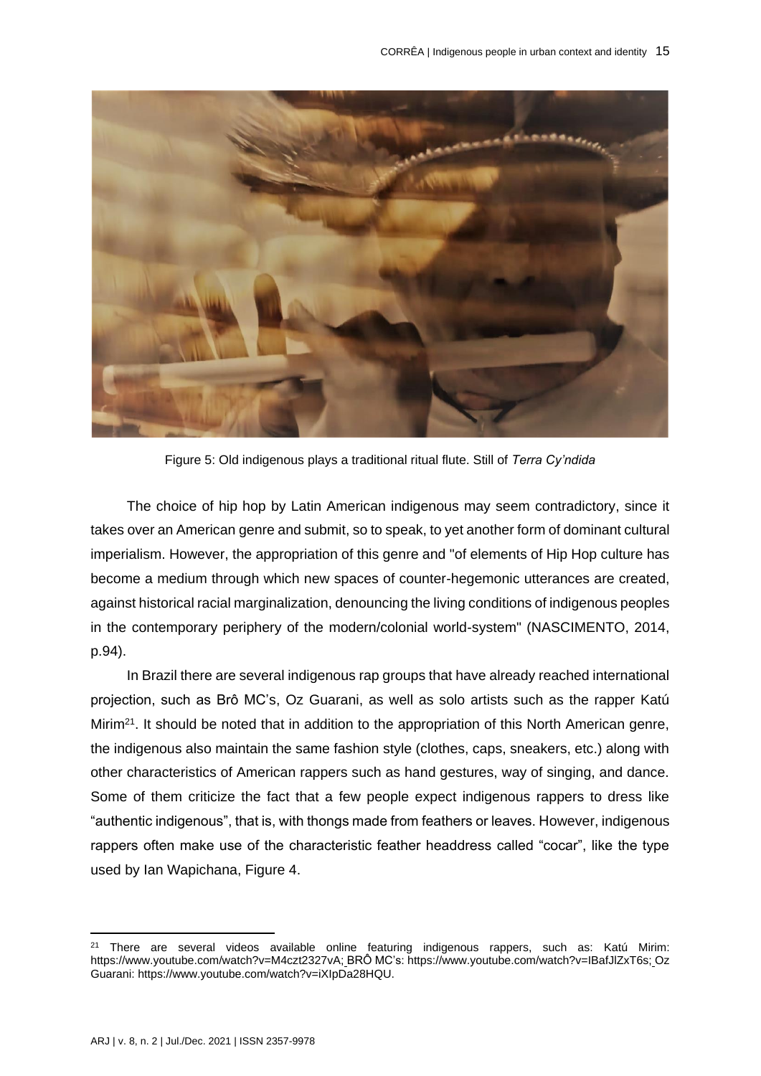

Figure 5: Old indigenous plays a traditional ritual flute. Still of *Terra Cy'ndida*

The choice of hip hop by Latin American indigenous may seem contradictory, since it takes over an American genre and submit, so to speak, to yet another form of dominant cultural imperialism. However, the appropriation of this genre and "of elements of Hip Hop culture has become a medium through which new spaces of counter-hegemonic utterances are created, against historical racial marginalization, denouncing the living conditions of indigenous peoples in the contemporary periphery of the modern/colonial world-system" (NASCIMENTO, 2014, p.94).

In Brazil there are several indigenous rap groups that have already reached international projection, such as Brô MC's, Oz Guarani, as well as solo artists such as the rapper Katú Mirim<sup>21</sup>. It should be noted that in addition to the appropriation of this North American genre, the indigenous also maintain the same fashion style (clothes, caps, sneakers, etc.) along with other characteristics of American rappers such as hand gestures, way of singing, and dance. Some of them criticize the fact that a few people expect indigenous rappers to dress like "authentic indigenous", that is, with thongs made from feathers or leaves. However, indigenous rappers often make use of the characteristic feather headdress called "cocar", like the type used by Ian Wapichana, Figure 4.

<sup>&</sup>lt;sup>21</sup> There are several videos available online featuring indigenous rappers, such as: Katú Mirim: [https://www.youtube.com/watch?v=M4czt2327vA;](https://www.youtube.com/watch?v=M4czt2327vA) BRÔ MC's: [https://www.youtube.com/watch?v=IBafJlZxT6s;](https://www.youtube.com/watch?v=IBafJlZxT6s) Oz Guarani: [https://www.youtube.com/watch?v=iXIpDa28HQU.](https://www.youtube.com/watch?v=iXIpDa28HQU)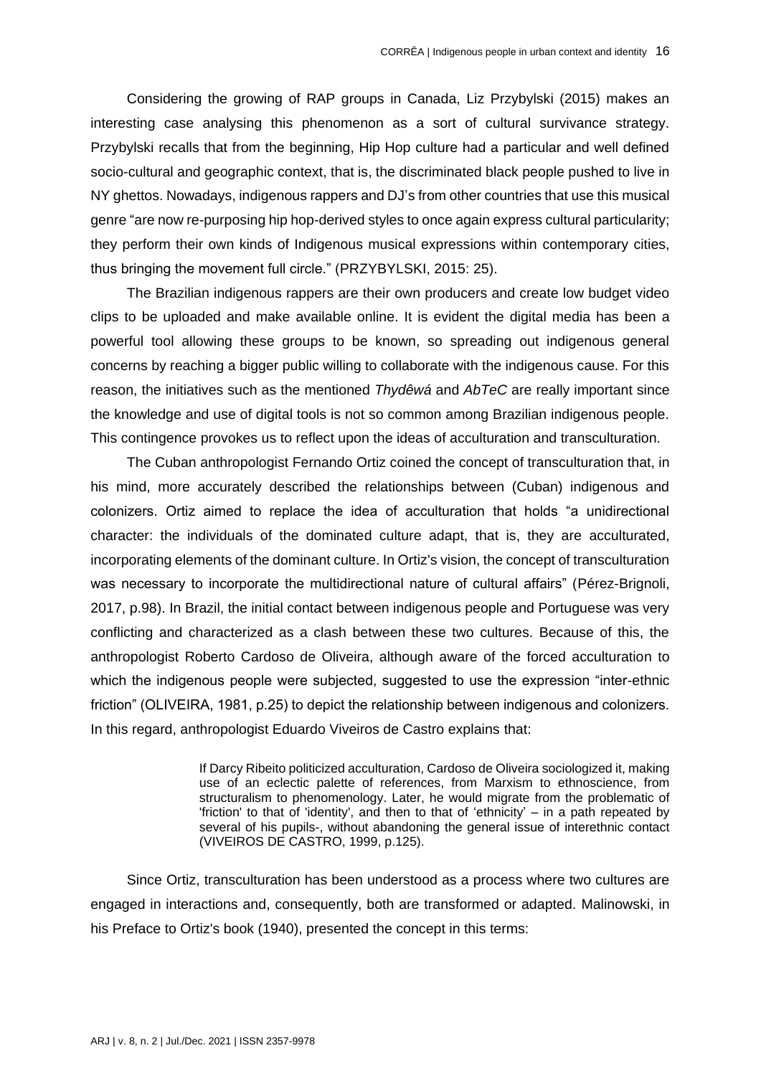Considering the growing of RAP groups in Canada, Liz Przybylski (2015) makes an interesting case analysing this phenomenon as a sort of cultural survivance strategy. Przybylski recalls that from the beginning, Hip Hop culture had a particular and well defined socio-cultural and geographic context, that is, the discriminated black people pushed to live in NY ghettos. Nowadays, indigenous rappers and DJ's from other countries that use this musical genre "are now re-purposing hip hop-derived styles to once again express cultural particularity; they perform their own kinds of Indigenous musical expressions within contemporary cities, thus bringing the movement full circle." (PRZYBYLSKI, 2015: 25).

The Brazilian indigenous rappers are their own producers and create low budget video clips to be uploaded and make available online. It is evident the digital media has been a powerful tool allowing these groups to be known, so spreading out indigenous general concerns by reaching a bigger public willing to collaborate with the indigenous cause. For this reason, the initiatives such as the mentioned *Thydêwá* and *AbTeC* are really important since the knowledge and use of digital tools is not so common among Brazilian indigenous people. This contingence provokes us to reflect upon the ideas of acculturation and transculturation.

The Cuban anthropologist Fernando Ortiz coined the concept of transculturation that, in his mind, more accurately described the relationships between (Cuban) indigenous and colonizers. Ortiz aimed to replace the idea of acculturation that holds "a unidirectional character: the individuals of the dominated culture adapt, that is, they are acculturated, incorporating elements of the dominant culture. In Ortiz's vision, the concept of transculturation was necessary to incorporate the multidirectional nature of cultural affairs" (Pérez-Brignoli, 2017, p.98). In Brazil, the initial contact between indigenous people and Portuguese was very conflicting and characterized as a clash between these two cultures. Because of this, the anthropologist Roberto Cardoso de Oliveira, although aware of the forced acculturation to which the indigenous people were subjected, suggested to use the expression "inter-ethnic friction" (OLIVEIRA, 1981, p.25) to depict the relationship between indigenous and colonizers. In this regard, anthropologist Eduardo Viveiros de Castro explains that:

> If Darcy Ribeito politicized acculturation, Cardoso de Oliveira sociologized it, making use of an eclectic palette of references, from Marxism to ethnoscience, from structuralism to phenomenology. Later, he would migrate from the problematic of 'friction' to that of 'identity', and then to that of 'ethnicity' – in a path repeated by several of his pupils-, without abandoning the general issue of interethnic contact (VIVEIROS DE CASTRO, 1999, p.125).

Since Ortiz, transculturation has been understood as a process where two cultures are engaged in interactions and, consequently, both are transformed or adapted. Malinowski, in his Preface to Ortiz's book (1940), presented the concept in this terms: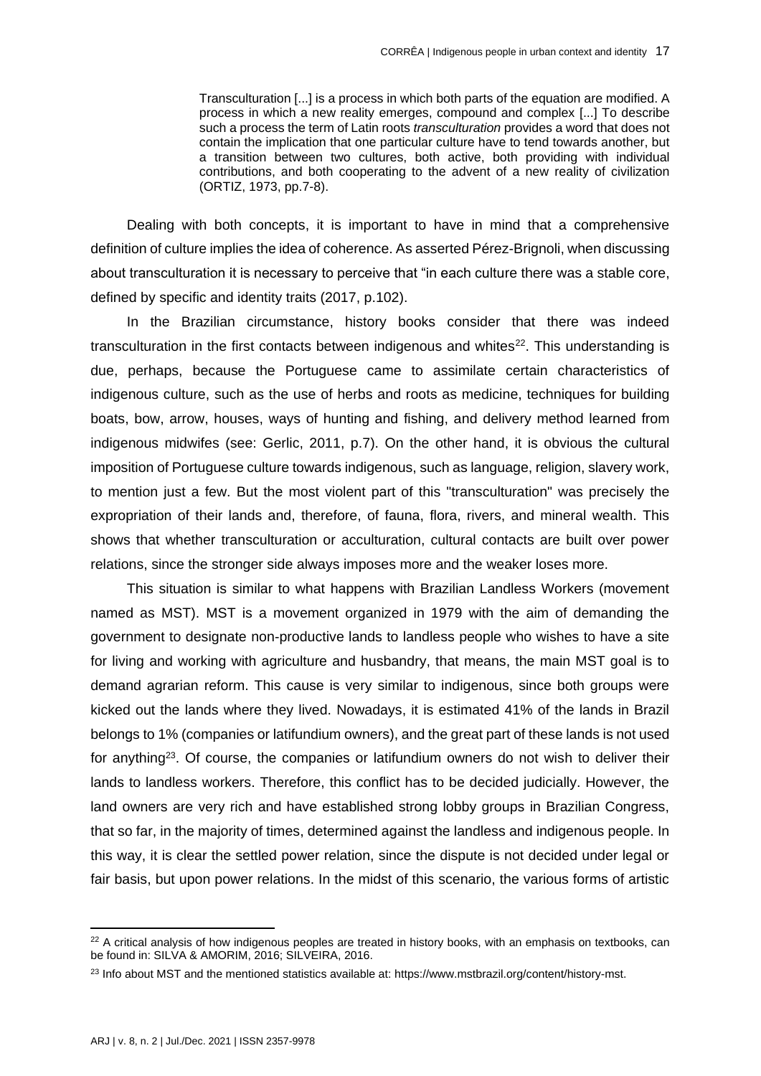Transculturation [...] is a process in which both parts of the equation are modified. A process in which a new reality emerges, compound and complex [...] To describe such a process the term of Latin roots *transculturation* provides a word that does not contain the implication that one particular culture have to tend towards another, but a transition between two cultures, both active, both providing with individual contributions, and both cooperating to the advent of a new reality of civilization (ORTIZ, 1973, pp.7-8).

Dealing with both concepts, it is important to have in mind that a comprehensive definition of culture implies the idea of coherence. As asserted Pérez-Brignoli, when discussing about transculturation it is necessary to perceive that "in each culture there was a stable core, defined by specific and identity traits (2017, p.102).

In the Brazilian circumstance, history books consider that there was indeed transculturation in the first contacts between indigenous and whites<sup>22</sup>. This understanding is due, perhaps, because the Portuguese came to assimilate certain characteristics of indigenous culture, such as the use of herbs and roots as medicine, techniques for building boats, bow, arrow, houses, ways of hunting and fishing, and delivery method learned from indigenous midwifes (see: Gerlic, 2011, p.7). On the other hand, it is obvious the cultural imposition of Portuguese culture towards indigenous, such as language, religion, slavery work, to mention just a few. But the most violent part of this "transculturation" was precisely the expropriation of their lands and, therefore, of fauna, flora, rivers, and mineral wealth. This shows that whether transculturation or acculturation, cultural contacts are built over power relations, since the stronger side always imposes more and the weaker loses more.

This situation is similar to what happens with Brazilian Landless Workers (movement named as MST). MST is a movement organized in 1979 with the aim of demanding the government to designate non-productive lands to landless people who wishes to have a site for living and working with agriculture and husbandry, that means, the main MST goal is to demand agrarian reform. This cause is very similar to indigenous, since both groups were kicked out the lands where they lived. Nowadays, it is estimated 41% of the lands in Brazil belongs to 1% (companies or latifundium owners), and the great part of these lands is not used for anything<sup>23</sup>. Of course, the companies or latifundium owners do not wish to deliver their lands to landless workers. Therefore, this conflict has to be decided judicially. However, the land owners are very rich and have established strong lobby groups in Brazilian Congress, that so far, in the majority of times, determined against the landless and indigenous people. In this way, it is clear the settled power relation, since the dispute is not decided under legal or fair basis, but upon power relations. In the midst of this scenario, the various forms of artistic

<sup>&</sup>lt;sup>22</sup> A critical analysis of how indigenous peoples are treated in history books, with an emphasis on textbooks, can be found in: SILVA & AMORIM, 2016; SILVEIRA, 2016.

<sup>&</sup>lt;sup>23</sup> Info about MST and the mentioned statistics available at[: https://www.mstbrazil.org/content/history-mst.](https://www.mstbrazil.org/content/history-mst)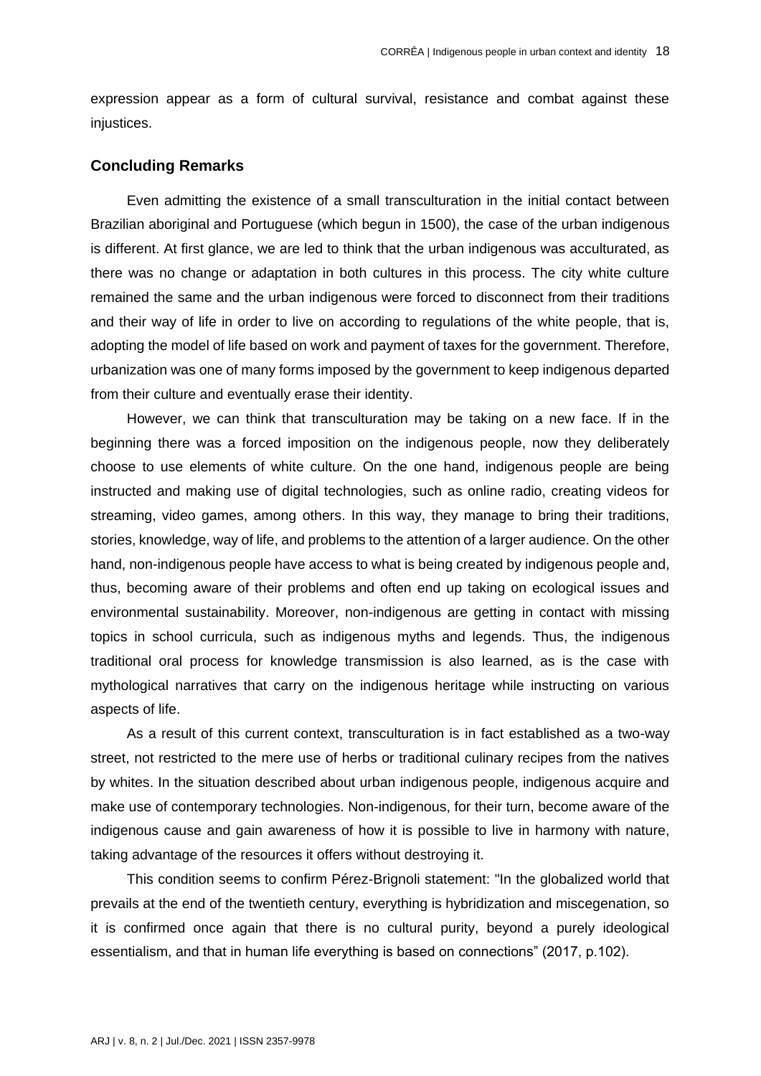expression appear as a form of cultural survival, resistance and combat against these injustices.

#### **Concluding Remarks**

Even admitting the existence of a small transculturation in the initial contact between Brazilian aboriginal and Portuguese (which begun in 1500), the case of the urban indigenous is different. At first glance, we are led to think that the urban indigenous was acculturated, as there was no change or adaptation in both cultures in this process. The city white culture remained the same and the urban indigenous were forced to disconnect from their traditions and their way of life in order to live on according to regulations of the white people, that is, adopting the model of life based on work and payment of taxes for the government. Therefore, urbanization was one of many forms imposed by the government to keep indigenous departed from their culture and eventually erase their identity.

However, we can think that transculturation may be taking on a new face. If in the beginning there was a forced imposition on the indigenous people, now they deliberately choose to use elements of white culture. On the one hand, indigenous people are being instructed and making use of digital technologies, such as online radio, creating videos for streaming, video games, among others. In this way, they manage to bring their traditions, stories, knowledge, way of life, and problems to the attention of a larger audience. On the other hand, non-indigenous people have access to what is being created by indigenous people and, thus, becoming aware of their problems and often end up taking on ecological issues and environmental sustainability. Moreover, non-indigenous are getting in contact with missing topics in school curricula, such as indigenous myths and legends. Thus, the indigenous traditional oral process for knowledge transmission is also learned, as is the case with mythological narratives that carry on the indigenous heritage while instructing on various aspects of life.

As a result of this current context, transculturation is in fact established as a two-way street, not restricted to the mere use of herbs or traditional culinary recipes from the natives by whites. In the situation described about urban indigenous people, indigenous acquire and make use of contemporary technologies. Non-indigenous, for their turn, become aware of the indigenous cause and gain awareness of how it is possible to live in harmony with nature, taking advantage of the resources it offers without destroying it.

This condition seems to confirm Pérez-Brignoli statement: "In the globalized world that prevails at the end of the twentieth century, everything is hybridization and miscegenation, so it is confirmed once again that there is no cultural purity, beyond a purely ideological essentialism, and that in human life everything is based on connections" (2017, p.102).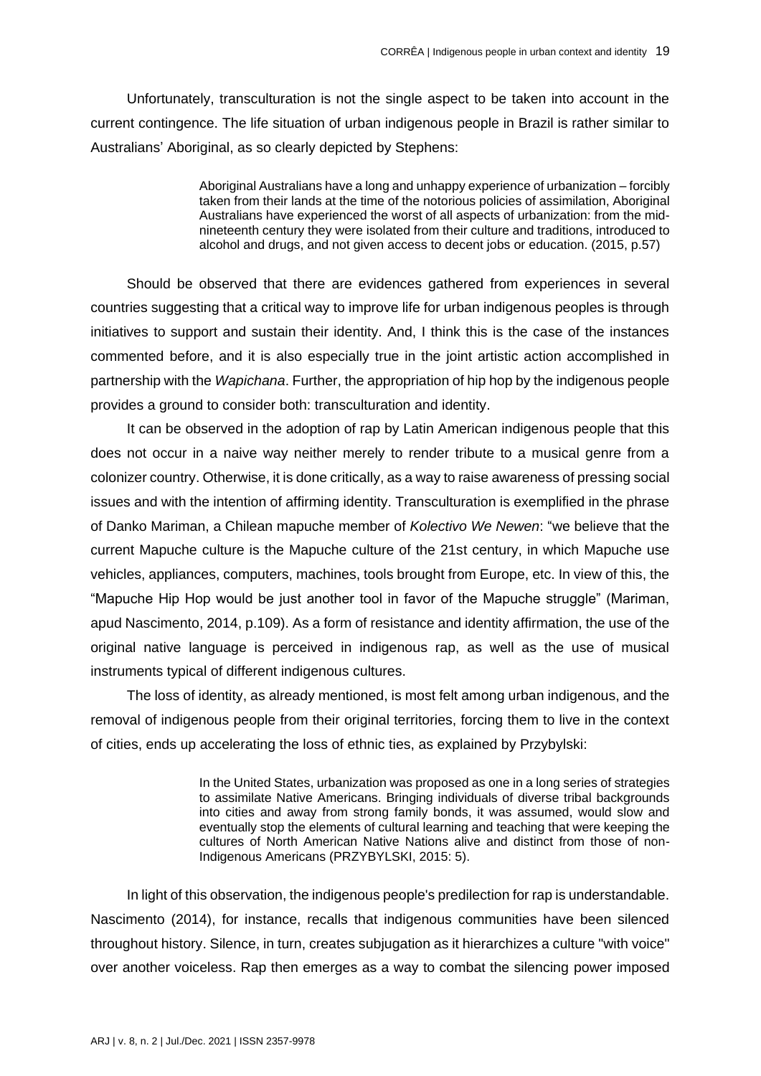Unfortunately, transculturation is not the single aspect to be taken into account in the current contingence. The life situation of urban indigenous people in Brazil is rather similar to Australians' Aboriginal, as so clearly depicted by Stephens:

> Aboriginal Australians have a long and unhappy experience of urbanization – forcibly taken from their lands at the time of the notorious policies of assimilation, Aboriginal Australians have experienced the worst of all aspects of urbanization: from the midnineteenth century they were isolated from their culture and traditions, introduced to alcohol and drugs, and not given access to decent jobs or education. (2015, p.57)

Should be observed that there are evidences gathered from experiences in several countries suggesting that a critical way to improve life for urban indigenous peoples is through initiatives to support and sustain their identity. And, I think this is the case of the instances commented before, and it is also especially true in the joint artistic action accomplished in partnership with the *Wapichana*. Further, the appropriation of hip hop by the indigenous people provides a ground to consider both: transculturation and identity.

It can be observed in the adoption of rap by Latin American indigenous people that this does not occur in a naive way neither merely to render tribute to a musical genre from a colonizer country. Otherwise, it is done critically, as a way to raise awareness of pressing social issues and with the intention of affirming identity. Transculturation is exemplified in the phrase of Danko Mariman, a Chilean mapuche member of *Kolectivo We Newen*: "we believe that the current Mapuche culture is the Mapuche culture of the 21st century, in which Mapuche use vehicles, appliances, computers, machines, tools brought from Europe, etc. In view of this, the "Mapuche Hip Hop would be just another tool in favor of the Mapuche struggle" (Mariman, apud Nascimento, 2014, p.109). As a form of resistance and identity affirmation, the use of the original native language is perceived in indigenous rap, as well as the use of musical instruments typical of different indigenous cultures.

The loss of identity, as already mentioned, is most felt among urban indigenous, and the removal of indigenous people from their original territories, forcing them to live in the context of cities, ends up accelerating the loss of ethnic ties, as explained by Przybylski:

> In the United States, urbanization was proposed as one in a long series of strategies to assimilate Native Americans. Bringing individuals of diverse tribal backgrounds into cities and away from strong family bonds, it was assumed, would slow and eventually stop the elements of cultural learning and teaching that were keeping the cultures of North American Native Nations alive and distinct from those of non-Indigenous Americans (PRZYBYLSKI, 2015: 5).

In light of this observation, the indigenous people's predilection for rap is understandable. Nascimento (2014), for instance, recalls that indigenous communities have been silenced throughout history. Silence, in turn, creates subjugation as it hierarchizes a culture "with voice" over another voiceless. Rap then emerges as a way to combat the silencing power imposed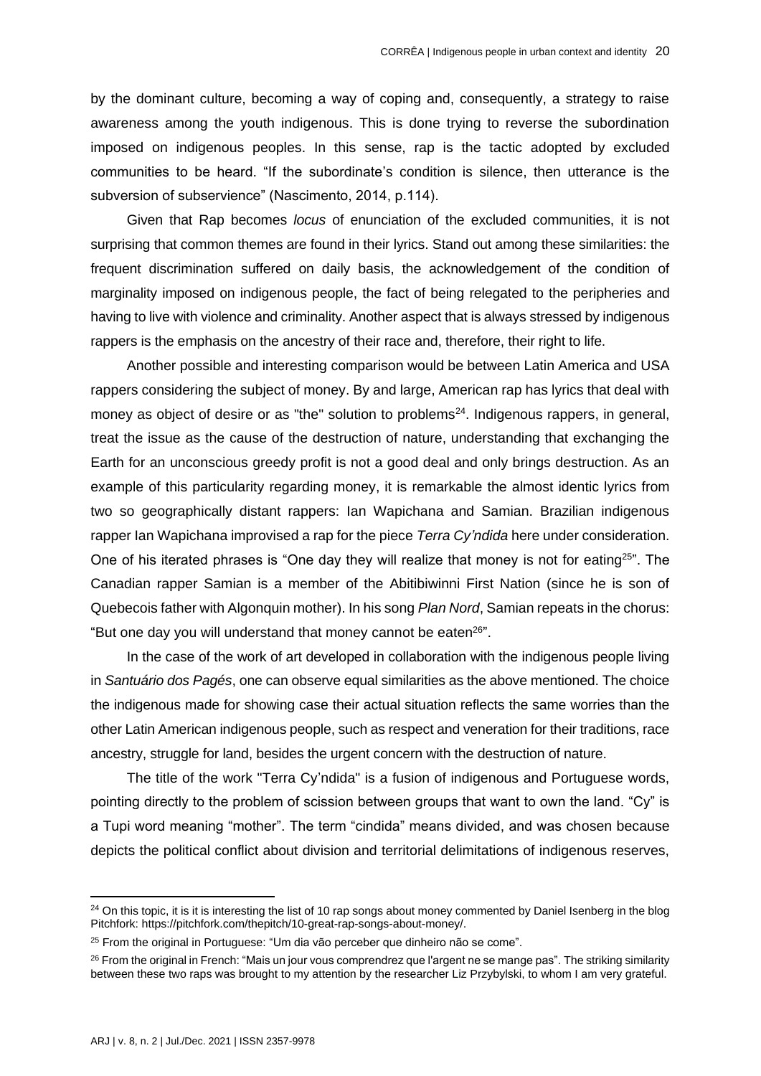by the dominant culture, becoming a way of coping and, consequently, a strategy to raise awareness among the youth indigenous. This is done trying to reverse the subordination imposed on indigenous peoples. In this sense, rap is the tactic adopted by excluded communities to be heard. "If the subordinate's condition is silence, then utterance is the subversion of subservience" (Nascimento, 2014, p.114).

Given that Rap becomes *locus* of enunciation of the excluded communities, it is not surprising that common themes are found in their lyrics. Stand out among these similarities: the frequent discrimination suffered on daily basis, the acknowledgement of the condition of marginality imposed on indigenous people, the fact of being relegated to the peripheries and having to live with violence and criminality. Another aspect that is always stressed by indigenous rappers is the emphasis on the ancestry of their race and, therefore, their right to life.

Another possible and interesting comparison would be between Latin America and USA rappers considering the subject of money. By and large, American rap has lyrics that deal with money as object of desire or as "the" solution to problems<sup>24</sup>. Indigenous rappers, in general, treat the issue as the cause of the destruction of nature, understanding that exchanging the Earth for an unconscious greedy profit is not a good deal and only brings destruction. As an example of this particularity regarding money, it is remarkable the almost identic lyrics from two so geographically distant rappers: Ian Wapichana and Samian. Brazilian indigenous rapper Ian Wapichana improvised a rap for the piece *Terra Cy'ndida* here under consideration. One of his iterated phrases is "One day they will realize that money is not for eating<sup>25"</sup>. The Canadian rapper Samian is a member of the Abitibiwinni First Nation (since he is son of Quebecois father with Algonquin mother). In his song *Plan Nord*, Samian repeats in the chorus: "But one day you will understand that money cannot be eaten<sup>26"</sup>.

In the case of the work of art developed in collaboration with the indigenous people living in *Santuário dos Pagés*, one can observe equal similarities as the above mentioned. The choice the indigenous made for showing case their actual situation reflects the same worries than the other Latin American indigenous people, such as respect and veneration for their traditions, race ancestry, struggle for land, besides the urgent concern with the destruction of nature.

The title of the work "Terra Cy'ndida" is a fusion of indigenous and Portuguese words, pointing directly to the problem of scission between groups that want to own the land. "Cy" is a Tupi word meaning "mother". The term "cindida" means divided, and was chosen because depicts the political conflict about division and territorial delimitations of indigenous reserves,

<sup>&</sup>lt;sup>24</sup> On this topic, it is it is interesting the list of 10 rap songs about money commented by Daniel Isenberg in the blog Pitchfork: [https://pitchfork.com/thepitch/10-great-rap-songs-about-money/.](https://pitchfork.com/thepitch/10-great-rap-songs-about-money/)

<sup>&</sup>lt;sup>25</sup> From the original in Portuguese: "Um dia vão perceber que dinheiro não se come".

<sup>&</sup>lt;sup>26</sup> From the original in French: "Mais un jour vous comprendrez que l'argent ne se mange pas". The striking similarity between these two raps was brought to my attention by the researcher Liz Przybylski, to whom I am very grateful.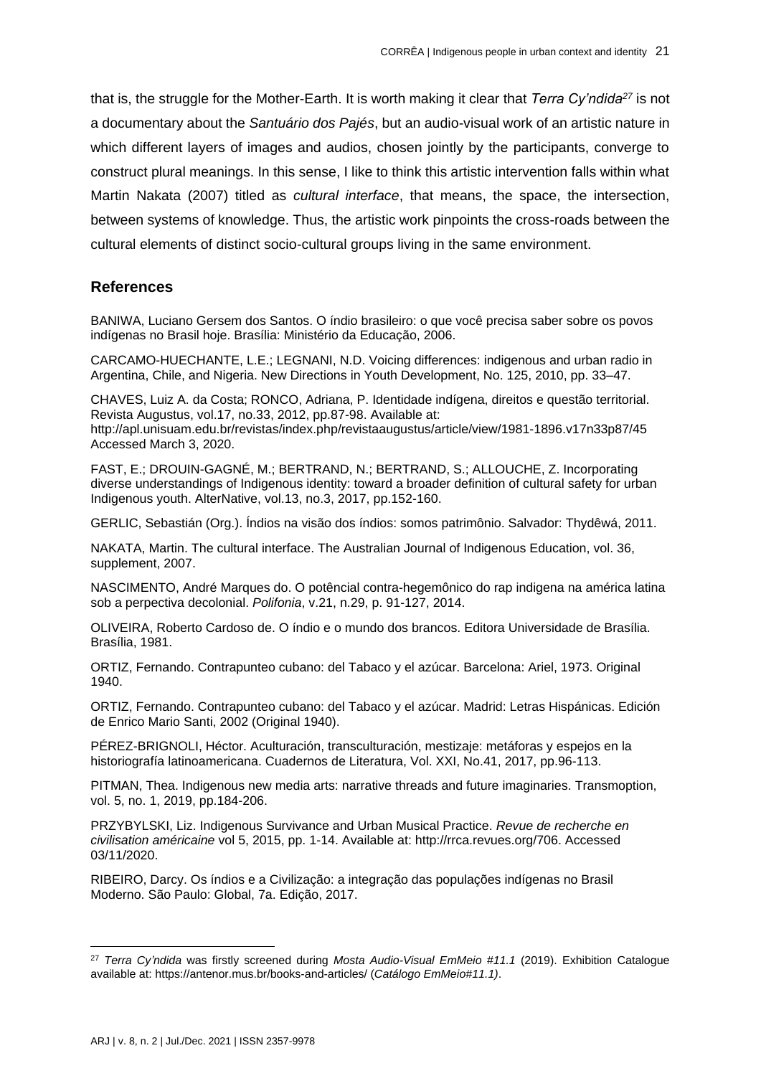that is, the struggle for the Mother-Earth. It is worth making it clear that *Terra Cy'ndida<sup>27</sup>* is not a documentary about the *Santuário dos Pajés*, but an audio-visual work of an artistic nature in which different layers of images and audios, chosen jointly by the participants, converge to construct plural meanings. In this sense, I like to think this artistic intervention falls within what Martin Nakata (2007) titled as *cultural interface*, that means, the space, the intersection, between systems of knowledge. Thus, the artistic work pinpoints the cross-roads between the cultural elements of distinct socio-cultural groups living in the same environment.

# **References**

BANIWA, Luciano Gersem dos Santos. O índio brasileiro: o que você precisa saber sobre os povos indígenas no Brasil hoje. Brasília: Ministério da Educação, 2006.

CARCAMO-HUECHANTE, L.E.; LEGNANI, N.D. Voicing differences: indigenous and urban radio in Argentina, Chile, and Nigeria. New Directions in Youth Development, No. 125, 2010, pp. 33–47.

CHAVES, Luiz A. da Costa; RONCO, Adriana, P. Identidade indígena, direitos e questão territorial. Revista Augustus, vol.17, no.33, 2012, pp.87-98. Available at: <http://apl.unisuam.edu.br/revistas/index.php/revistaaugustus/article/view/1981-1896.v17n33p87/45> Accessed March 3, 2020.

FAST, E.; DROUIN-GAGNÉ, M.; BERTRAND, N.; BERTRAND, S.; ALLOUCHE, Z. Incorporating diverse understandings of Indigenous identity: toward a broader definition of cultural safety for urban Indigenous youth. AlterNative, vol.13, no.3, 2017, pp.152-160.

GERLIC, Sebastián (Org.). Índios na visão dos índios: somos patrimônio. Salvador: Thydêwá, 2011.

NAKATA, Martin. The cultural interface. The Australian Journal of Indigenous Education, vol. 36, supplement, 2007.

NASCIMENTO, André Marques do. O potêncial contra-hegemônico do rap indigena na américa latina sob a perpectiva decolonial. *Polifonia*, v.21, n.29, p. 91-127, 2014.

OLIVEIRA, Roberto Cardoso de. O índio e o mundo dos brancos. Editora Universidade de Brasília. Brasília, 1981.

ORTIZ, Fernando. Contrapunteo cubano: del Tabaco y el azúcar. Barcelona: Ariel, 1973. Original 1940.

ORTIZ, Fernando. Contrapunteo cubano: del Tabaco y el azúcar. Madrid: Letras Hispánicas. Edición de Enrico Mario Santi, 2002 (Original 1940).

PÉREZ-BRIGNOLI, Héctor. Aculturación, transculturación, mestizaje: metáforas y espejos en la historiografía latinoamericana. Cuadernos de Literatura, Vol. XXI, No.41, 2017, pp.96-113.

PITMAN, Thea. Indigenous new media arts: narrative threads and future imaginaries. Transmoption, vol. 5, no. 1, 2019, pp.184-206.

PRZYBYLSKI, Liz. Indigenous Survivance and Urban Musical Practice. *Revue de recherche en civilisation américaine* vol 5, 2015, pp. 1-14. Available at: [http://rrca.revues.org/706. Accessed](http://rrca.revues.org/706.%20Accessed%2003/11/2020)  [03/11/2020.](http://rrca.revues.org/706.%20Accessed%2003/11/2020)

RIBEIRO, Darcy. Os índios e a Civilização: a integração das populações indígenas no Brasil Moderno. São Paulo: Global, 7a. Edição, 2017.

<sup>27</sup> *Terra Cy'ndida* was firstly screened during *Mosta Audio-Visual EmMeio #11.1* (2019). Exhibition Catalogue available at:<https://antenor.mus.br/books-and-articles/> (*Catálogo EmMeio#11.1)*.